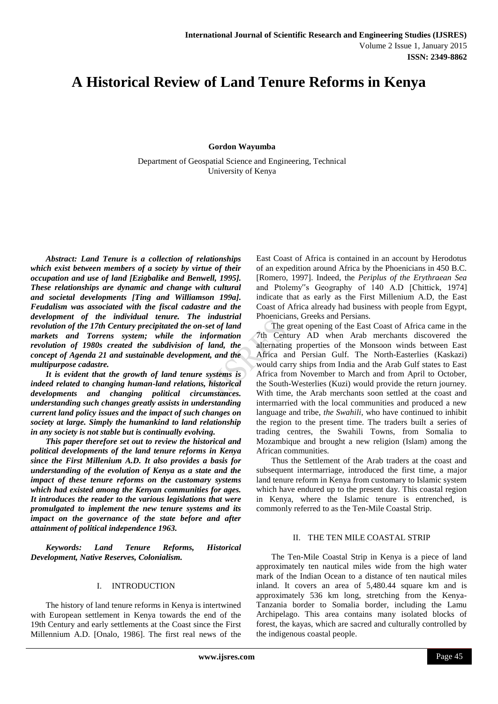# **A Historical Review of Land Tenure Reforms in Kenya**

**Gordon Wayumba**

Department of Geospatial Science and Engineering, Technical University of Kenya

*Abstract: Land Tenure is a collection of relationships which exist between members of a society by virtue of their occupation and use of land [Ezigbalike and Benwell, 1995]. These relationships are dynamic and change with cultural and societal developments [Ting and Williamson 199a]. Feudalism was associated with the fiscal cadastre and the development of the individual tenure. The industrial revolution of the 17th Century precipitated the on-set of land markets and Torrens system; while the information revolution of 1980s created the subdivision of land, the concept of Agenda 21 and sustainable development, and the multipurpose cadastre.* 

*It is evident that the growth of land tenure systems is indeed related to changing human-land relations, historical developments and changing political circumstances. understanding such changes greatly assists in understanding current land policy issues and the impact of such changes on society at large. Simply the humankind to land relationship in any society is not stable but is continually evolving.* 

*This paper therefore set out to review the historical and political developments of the land tenure reforms in Kenya since the First Millenium A.D. It also provides a basis for understanding of the evolution of Kenya as a state and the impact of these tenure reforms on the customary systems which had existed among the Kenyan communities for ages. It introduces the reader to the various legislations that were promulgated to implement the new tenure systems and its impact on the governance of the state before and after attainment of political independence 1963.*

*Keywords: Land Tenure Reforms, Historical Development, Native Reserves, Colonialism.*

#### I. INTRODUCTION

The history of land tenure reforms in Kenya is intertwined with European settlement in Kenya towards the end of the 19th Century and early settlements at the Coast since the First Millennium A.D. [Onalo, 1986]. The first real news of the

East Coast of Africa is contained in an account by Herodotus of an expedition around Africa by the Phoenicians in 450 B.C. [Romero, 1997]. Indeed, the *Periplus of the Erythraean Sea*  and Ptolemy"s Geography of 140 A.D [Chittick, 1974] indicate that as early as the First Millenium A.D, the East Coast of Africa already had business with people from Egypt, Phoenicians, Greeks and Persians.

The great opening of the East Coast of Africa came in the 7th Century AD when Arab merchants discovered the alternating properties of the Monsoon winds between East Africa and Persian Gulf. The North-Easterlies (Kaskazi) would carry ships from India and the Arab Gulf states to East Africa from November to March and from April to October, the South-Westerlies (Kuzi) would provide the return journey. With time, the Arab merchants soon settled at the coast and intermarried with the local communities and produced a new language and tribe, *the Swahili*, who have continued to inhibit the region to the present time. The traders built a series of trading centres, the Swahili Towns, from Somalia to Mozambique and brought a new religion (Islam) among the African communities.

Thus the Settlement of the Arab traders at the coast and subsequent intermarriage, introduced the first time, a major land tenure reform in Kenya from customary to Islamic system which have endured up to the present day. This coastal region in Kenya, where the Islamic tenure is entrenched, is commonly referred to as the Ten-Mile Coastal Strip.

# II. THE TEN MILE COASTAL STRIP

The Ten-Mile Coastal Strip in Kenya is a piece of land approximately ten nautical miles wide from the high water mark of the Indian Ocean to a distance of ten nautical miles inland. It covers an area of 5,480.44 square km and is approximately 536 km long, stretching from the Kenya-Tanzania border to Somalia border, including the Lamu Archipelago. This area contains many isolated blocks of forest, the kayas, which are sacred and culturally controlled by the indigenous coastal people.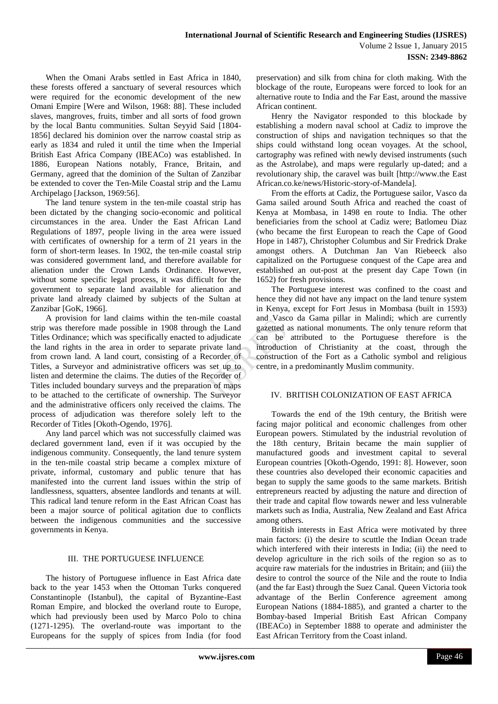When the Omani Arabs settled in East Africa in 1840, these forests offered a sanctuary of several resources which were required for the economic development of the new Omani Empire [Were and Wilson, 1968: 88]. These included slaves, mangroves, fruits, timber and all sorts of food grown by the local Bantu communities. Sultan Seyyid Said [1804- 1856] declared his dominion over the narrow coastal strip as early as 1834 and ruled it until the time when the Imperial British East Africa Company (IBEACo) was established. In 1886, European Nations notably, France, Britain, and Germany, agreed that the dominion of the Sultan of Zanzibar be extended to cover the Ten-Mile Coastal strip and the Lamu Archipelago [Jackson, 1969:56].

The land tenure system in the ten-mile coastal strip has been dictated by the changing socio-economic and political circumstances in the area. Under the East African Land Regulations of 1897, people living in the area were issued with certificates of ownership for a term of 21 years in the form of short-term leases. In 1902, the ten-mile coastal strip was considered government land, and therefore available for alienation under the Crown Lands Ordinance. However, without some specific legal process, it was difficult for the government to separate land available for alienation and private land already claimed by subjects of the Sultan at Zanzibar [GoK, 1966].

A provision for land claims within the ten-mile coastal strip was therefore made possible in 1908 through the Land Titles Ordinance; which was specifically enacted to adjudicate the land rights in the area in order to separate private land from crown land. A land court, consisting of a Recorder of Titles, a Surveyor and administrative officers was set up to listen and determine the claims. The duties of the Recorder of Titles included boundary surveys and the preparation of maps to be attached to the certificate of ownership. The Surveyor and the administrative officers only received the claims. The process of adjudication was therefore solely left to the Recorder of Titles [Okoth-Ogendo, 1976].

Any land parcel which was not successfully claimed was declared government land, even if it was occupied by the indigenous community. Consequently, the land tenure system in the ten-mile coastal strip became a complex mixture of private, informal, customary and public tenure that has manifested into the current land issues within the strip of landlessness, squatters, absentee landlords and tenants at will. This radical land tenure reform in the East African Coast has been a major source of political agitation due to conflicts between the indigenous communities and the successive governments in Kenya.

# III. THE PORTUGUESE INFLUENCE

The history of Portuguese influence in East Africa date back to the year 1453 when the Ottoman Turks conquered Constantinople (Istanbul), the capital of Byzantine-East Roman Empire, and blocked the overland route to Europe, which had previously been used by Marco Polo to china (1271-1295). The overland-route was important to the Europeans for the supply of spices from India (for food

preservation) and silk from china for cloth making. With the blockage of the route, Europeans were forced to look for an alternative route to India and the Far East, around the massive African continent.

Henry the Navigator responded to this blockade by establishing a modern naval school at Cadiz to improve the construction of ships and navigation techniques so that the ships could withstand long ocean voyages. At the school, cartography was refined with newly devised instruments (such as the Astrolabe), and maps were regularly up-dated; and a revolutionary ship, the caravel was built [http://www.the East African.co.ke/news/Historic-story-of-Mandela].

From the efforts at Cadiz, the Portuguese sailor, Vasco da Gama sailed around South Africa and reached the coast of Kenya at Mombasa, in 1498 en route to India. The other beneficiaries from the school at Cadiz were; Batlomeu Diaz (who became the first European to reach the Cape of Good Hope in 1487), Christopher Columbus and Sir Fredrick Drake amongst others. A Dutchman Jan Van Riebeeck also capitalized on the Portuguese conquest of the Cape area and established an out-post at the present day Cape Town (in 1652) for fresh provisions.

The Portuguese interest was confined to the coast and hence they did not have any impact on the land tenure system in Kenya, except for Fort Jesus in Mombasa (built in 1593) and Vasco da Gama pillar in Malindi; which are currently gazetted as national monuments. The only tenure reform that can be attributed to the Portuguese therefore is the introduction of Christianity at the coast, through the construction of the Fort as a Catholic symbol and religious centre, in a predominantly Muslim community.

# IV. BRITISH COLONIZATION OF EAST AFRICA

Towards the end of the 19th century, the British were facing major political and economic challenges from other European powers. Stimulated by the industrial revolution of the 18th century, Britain became the main supplier of manufactured goods and investment capital to several European countries [Okoth-Ogendo, 1991: 8]. However, soon these countries also developed their economic capacities and began to supply the same goods to the same markets. British entrepreneurs reacted by adjusting the nature and direction of their trade and capital flow towards newer and less vulnerable markets such as India, Australia, New Zealand and East Africa among others.

British interests in East Africa were motivated by three main factors: (i) the desire to scuttle the Indian Ocean trade which interfered with their interests in India; (ii) the need to develop agriculture in the rich soils of the region so as to acquire raw materials for the industries in Britain; and (iii) the desire to control the source of the Nile and the route to India (and the far East) through the Suez Canal. Queen Victoria took advantage of the Berlin Conference agreement among European Nations (1884-1885), and granted a charter to the Bombay-based Imperial British East African Company (IBEACo) in September 1888 to operate and administer the East African Territory from the Coast inland.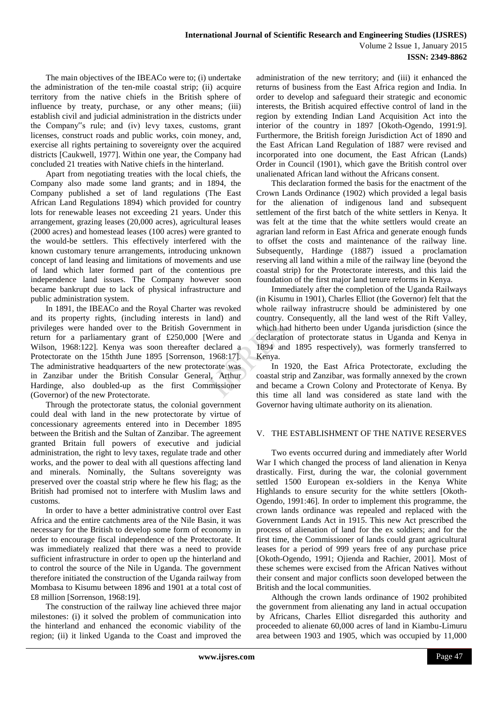The main objectives of the IBEACo were to; (i) undertake the administration of the ten-mile coastal strip; (ii) acquire territory from the native chiefs in the British sphere of influence by treaty, purchase, or any other means; (iii) establish civil and judicial administration in the districts under the Company"s rule; and (iv) levy taxes, customs, grant licenses, construct roads and public works, coin money, and, exercise all rights pertaining to sovereignty over the acquired districts [Caukwell, 1977]. Within one year, the Company had concluded 21 treaties with Native chiefs in the hinterland.

Apart from negotiating treaties with the local chiefs, the Company also made some land grants; and in 1894, the Company published a set of land regulations (The East African Land Regulations 1894) which provided for country lots for renewable leases not exceeding 21 years. Under this arrangement, grazing leases (20,000 acres), agricultural leases (2000 acres) and homestead leases (100 acres) were granted to the would-be settlers. This effectively interfered with the known customary tenure arrangements, introducing unknown concept of land leasing and limitations of movements and use of land which later formed part of the contentious pre independence land issues. The Company however soon became bankrupt due to lack of physical infrastructure and public administration system.

In 1891, the IBEACo and the Royal Charter was revoked and its property rights, (including interests in land) and privileges were handed over to the British Government in return for a parliamentary grant of £250,000 [Were and Wilson, 1968:122]. Kenya was soon thereafter declared a Protectorate on the 15thth June 1895 [Sorrenson, 1968:17]. The administrative headquarters of the new protectorate was in Zanzibar under the British Consular General, Arthur Hardinge, also doubled-up as the first Commissioner (Governor) of the new Protectorate.

Through the protectorate status, the colonial government could deal with land in the new protectorate by virtue of concessionary agreements entered into in December 1895 between the British and the Sultan of Zanzibar. The agreement granted Britain full powers of executive and judicial administration, the right to levy taxes, regulate trade and other works, and the power to deal with all questions affecting land and minerals. Nominally, the Sultans sovereignty was preserved over the coastal strip where he flew his flag; as the British had promised not to interfere with Muslim laws and customs.

In order to have a better administrative control over East Africa and the entire catchments area of the Nile Basin, it was necessary for the British to develop some form of economy in order to encourage fiscal independence of the Protectorate. It was immediately realized that there was a need to provide sufficient infrastructure in order to open up the hinterland and to control the source of the Nile in Uganda. The government therefore initiated the construction of the Uganda railway from Mombasa to Kisumu between 1896 and 1901 at a total cost of £8 million [Sorrenson, 1968:19].

The construction of the railway line achieved three major milestones: (i) it solved the problem of communication into the hinterland and enhanced the economic viability of the region; (ii) it linked Uganda to the Coast and improved the

administration of the new territory; and (iii) it enhanced the returns of business from the East Africa region and India. In order to develop and safeguard their strategic and economic interests, the British acquired effective control of land in the region by extending Indian Land Acquisition Act into the interior of the country in 1897 [Okoth-Ogendo, 1991:9]. Furthermore, the British foreign Jurisdiction Act of 1890 and the East African Land Regulation of 1887 were revised and incorporated into one document, the East African (Lands) Order in Council (1901), which gave the British control over unalienated African land without the Africans consent.

This declaration formed the basis for the enactment of the Crown Lands Ordinance (1902) which provided a legal basis for the alienation of indigenous land and subsequent settlement of the first batch of the white settlers in Kenya. It was felt at the time that the white settlers would create an agrarian land reform in East Africa and generate enough funds to offset the costs and maintenance of the railway line. Subsequently, Hardinge (1887) issued a proclamation reserving all land within a mile of the railway line (beyond the coastal strip) for the Protectorate interests, and this laid the foundation of the first major land tenure reforms in Kenya.

Immediately after the completion of the Uganda Railways (in Kisumu in 1901), Charles Elliot (the Governor) felt that the whole railway infrastrucre should be administered by one country. Consequently, all the land west of the Rift Valley, which had hitherto been under Uganda jurisdiction (since the declaration of protectorate status in Uganda and Kenya in 1894 and 1895 respectively), was formerly transferred to Kenya.

In 1920, the East Africa Protectorate, excluding the coastal strip and Zanzibar, was formally annexed by the crown and became a Crown Colony and Protectorate of Kenya. By this time all land was considered as state land with the Governor having ultimate authority on its alienation.

#### V. THE ESTABLISHMENT OF THE NATIVE RESERVES

Two events occurred during and immediately after World War I which changed the process of land alienation in Kenya drastically. First, during the war, the colonial government settled 1500 European ex-soldiers in the Kenya White Highlands to ensure security for the white settlers [Okoth-Ogendo, 1991:46]. In order to implement this programme, the crown lands ordinance was repealed and replaced with the Government Lands Act in 1915. This new Act prescribed the process of alienation of land for the ex soldiers; and for the first time, the Commissioner of lands could grant agricultural leases for a period of 999 years free of any purchase price [Okoth-Ogendo, 1991; Ojienda and Rachier, 2001]. Most of these schemes were excised from the African Natives without their consent and major conflicts soon developed between the British and the local communities.

Although the crown lands ordinance of 1902 prohibited the government from alienating any land in actual occupation by Africans, Charles Elliot disregarded this authority and proceeded to alienate 60,000 acres of land in Kiambu-Limuru area between 1903 and 1905, which was occupied by 11,000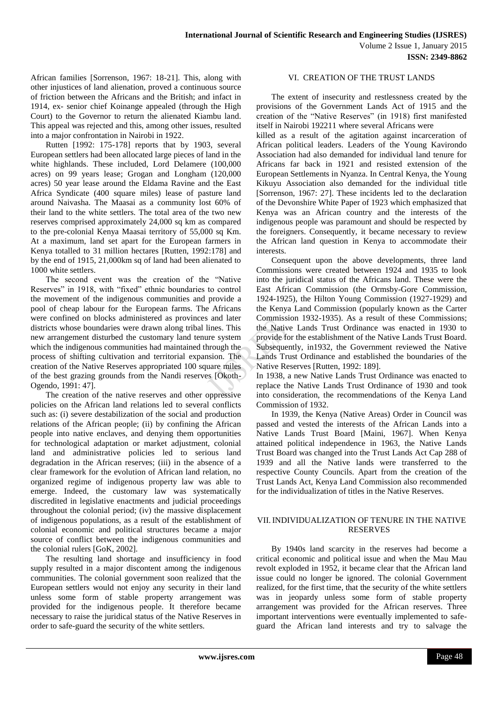African families [Sorrenson, 1967: 18-21]. This, along with other injustices of land alienation, proved a continuous source of friction between the Africans and the British; and infact in 1914, ex- senior chief Koinange appealed (through the High Court) to the Governor to return the alienated Kiambu land. This appeal was rejected and this, among other issues, resulted into a major confrontation in Nairobi in 1922.

Rutten [1992: 175-178] reports that by 1903, several European settlers had been allocated large pieces of land in the white highlands. These included, Lord Delamere (100,000 acres) on 99 years lease; Grogan and Longham (120,000 acres) 50 year lease around the Eldama Ravine and the East Africa Syndicate (400 square miles) lease of pasture land around Naivasha. The Maasai as a community lost 60% of their land to the white settlers. The total area of the two new reserves comprised approximately 24,000 sq km as compared to the pre-colonial Kenya Maasai territory of 55,000 sq Km. At a maximum, land set apart for the European farmers in Kenya totalled to 31 million hectares [Rutten, 1992:178] and by the end of 1915, 21,000km sq of land had been alienated to 1000 white settlers.

The second event was the creation of the "Native Reserves" in 1918, with "fixed" ethnic boundaries to control the movement of the indigenous communities and provide a pool of cheap labour for the European farms. The Africans were confined on blocks administered as provinces and later districts whose boundaries were drawn along tribal lines. This new arrangement disturbed the customary land tenure system which the indigenous communities had maintained through the process of shifting cultivation and territorial expansion. The creation of the Native Reserves appropriated 100 square miles of the best grazing grounds from the Nandi reserves [Okoth-Ogendo, 1991: 47].

The creation of the native reserves and other oppressive policies on the African land relations led to several conflicts such as: (i) severe destabilization of the social and production relations of the African people; (ii) by confining the African people into native enclaves, and denying them opportunities for technological adaptation or market adjustment, colonial land and administrative policies led to serious land degradation in the African reserves; (iii) in the absence of a clear framework for the evolution of African land relation, no organized regime of indigenous property law was able to emerge. Indeed, the customary law was systematically discredited in legislative enactments and judicial proceedings throughout the colonial period; (iv) the massive displacement of indigenous populations, as a result of the establishment of colonial economic and political structures became a major source of conflict between the indigenous communities and the colonial rulers [GoK, 2002].

The resulting land shortage and insufficiency in food supply resulted in a major discontent among the indigenous communities. The colonial government soon realized that the European settlers would not enjoy any security in their land unless some form of stable property arrangement was provided for the indigenous people. It therefore became necessary to raise the juridical status of the Native Reserves in order to safe-guard the security of the white settlers.

# VI. CREATION OF THE TRUST LANDS

The extent of insecurity and restlessness created by the provisions of the Government Lands Act of 1915 and the creation of the "Native Reserves" (in 1918) first manifested itself in Nairobi 192211 where several Africans were

killed as a result of the agitation against incarceration of African political leaders. Leaders of the Young Kavirondo Association had also demanded for individual land tenure for Africans far back in 1921 and resisted extension of the European Settlements in Nyanza. In Central Kenya, the Young Kikuyu Association also demanded for the individual title [Sorrenson, 1967: 27]. These incidents led to the declaration of the Devonshire White Paper of 1923 which emphasized that Kenya was an African country and the interests of the indigenous people was paramount and should be respected by the foreigners. Consequently, it became necessary to review the African land question in Kenya to accommodate their interests.

Consequent upon the above developments, three land Commissions were created between 1924 and 1935 to look into the juridical status of the Africans land. These were the East African Commission (the Ormsby-Gore Commission, 1924-1925), the Hilton Young Commission (1927-1929) and the Kenya Land Commission (popularly known as the Carter Commission 1932-1935). As a result of these Commissions; the Native Lands Trust Ordinance was enacted in 1930 to provide for the establishment of the Native Lands Trust Board. Subsequently, in1932, the Government reviewed the Native Lands Trust Ordinance and established the boundaries of the Native Reserves [Rutten, 1992: 189].

In 1938, a new Native Lands Trust Ordinance was enacted to replace the Native Lands Trust Ordinance of 1930 and took into consideration, the recommendations of the Kenya Land Commission of 1932.

In 1939, the Kenya (Native Areas) Order in Council was passed and vested the interests of the African Lands into a Native Lands Trust Board [Maini, 1967]. When Kenya attained political independence in 1963, the Native Lands Trust Board was changed into the Trust Lands Act Cap 288 of 1939 and all the Native lands were transferred to the respective County Councils. Apart from the creation of the Trust Lands Act, Kenya Land Commission also recommended for the individualization of titles in the Native Reserves.

# VII.INDIVIDUALIZATION OF TENURE IN THE NATIVE RESERVES

By 1940s land scarcity in the reserves had become a critical economic and political issue and when the Mau Mau revolt exploded in 1952, it became clear that the African land issue could no longer be ignored. The colonial Government realized, for the first time, that the security of the white settlers was in jeopardy unless some form of stable property arrangement was provided for the African reserves. Three important interventions were eventually implemented to safeguard the African land interests and try to salvage the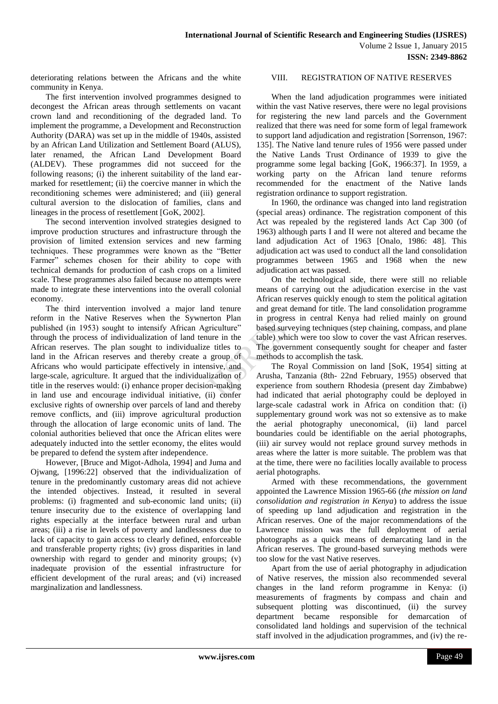deteriorating relations between the Africans and the white community in Kenya.

The first intervention involved programmes designed to decongest the African areas through settlements on vacant crown land and reconditioning of the degraded land. To implement the programme, a Development and Reconstruction Authority (DARA) was set up in the middle of 1940s, assisted by an African Land Utilization and Settlement Board (ALUS), later renamed, the African Land Development Board (ALDEV). These programmes did not succeed for the following reasons; (i) the inherent suitability of the land earmarked for resettlement; (ii) the coercive manner in which the reconditioning schemes were administered; and (iii) general cultural aversion to the dislocation of families, clans and lineages in the process of resettlement [GoK, 2002].

The second intervention involved strategies designed to improve production structures and infrastructure through the provision of limited extension services and new farming techniques. These programmes were known as the "Better Farmer" schemes chosen for their ability to cope with technical demands for production of cash crops on a limited scale. These programmes also failed because no attempts were made to integrate these interventions into the overall colonial economy.

The third intervention involved a major land tenure reform in the Native Reserves when the Sywnerton Plan published (in 1953) sought to intensify African Agriculture" through the process of individualization of land tenure in the African reserves. The plan sought to individualize titles to land in the African reserves and thereby create a group of Africans who would participate effectively in intensive, and large-scale, agriculture. It argued that the individualization of title in the reserves would: (i) enhance proper decision-making in land use and encourage individual initiative, (ii) confer exclusive rights of ownership over parcels of land and thereby remove conflicts, and (iii) improve agricultural production through the allocation of large economic units of land. The colonial authorities believed that once the African elites were adequately inducted into the settler economy, the elites would be prepared to defend the system after independence.

However, [Bruce and Migot-Adhola, 1994] and Juma and Ojwang, [1996:22] observed that the individualization of tenure in the predominantly customary areas did not achieve the intended objectives. Instead, it resulted in several problems: (i) fragmented and sub-economic land units; (ii) tenure insecurity due to the existence of overlapping land rights especially at the interface between rural and urban areas; (iii) a rise in levels of poverty and landlessness due to lack of capacity to gain access to clearly defined, enforceable and transferable property rights; (iv) gross disparities in land ownership with regard to gender and minority groups; (v) inadequate provision of the essential infrastructure for efficient development of the rural areas; and (vi) increased marginalization and landlessness.

# VIII. REGISTRATION OF NATIVE RESERVES

When the land adjudication programmes were initiated within the vast Native reserves, there were no legal provisions for registering the new land parcels and the Government realized that there was need for some form of legal framework to support land adjudication and registration [Sorrenson, 1967: 135]. The Native land tenure rules of 1956 were passed under the Native Lands Trust Ordinance of 1939 to give the programme some legal backing [GoK, 1966:37]. In 1959, a working party on the African land tenure reforms recommended for the enactment of the Native lands registration ordinance to support registration.

In 1960, the ordinance was changed into land registration (special areas) ordinance. The registration component of this Act was repealed by the registered lands Act Cap 300 (of 1963) although parts I and II were not altered and became the land adjudication Act of 1963 [Onalo, 1986: 48]. This adjudication act was used to conduct all the land consolidation programmes between 1965 and 1968 when the new adjudication act was passed.

On the technological side, there were still no reliable means of carrying out the adjudication exercise in the vast African reserves quickly enough to stem the political agitation and great demand for title. The land consolidation programme in progress in central Kenya had relied mainly on ground based surveying techniques (step chaining, compass, and plane table) which were too slow to cover the vast African reserves. The government consequently sought for cheaper and faster methods to accomplish the task.

The Royal Commission on land [SoK, 1954] sitting at Arusha, Tanzania (8th- 22nd February, 1955) observed that experience from southern Rhodesia (present day Zimbabwe) had indicated that aerial photography could be deployed in large-scale cadastral work in Africa on condition that: (i) supplementary ground work was not so extensive as to make the aerial photography uneconomical, (ii) land parcel boundaries could be identifiable on the aerial photographs, (iii) air survey would not replace ground survey methods in areas where the latter is more suitable. The problem was that at the time, there were no facilities locally available to process aerial photographs.

Armed with these recommendations, the government appointed the Lawrence Mission 1965-66 (*the mission on land consolidation and registration in Kenya*) to address the issue of speeding up land adjudication and registration in the African reserves. One of the major recommendations of the Lawrence mission was the full deployment of aerial photographs as a quick means of demarcating land in the African reserves. The ground-based surveying methods were too slow for the vast Native reserves.

Apart from the use of aerial photography in adjudication of Native reserves, the mission also recommended several changes in the land reform programme in Kenya: (i) measurements of fragments by compass and chain and subsequent plotting was discontinued, (ii) the survey department became responsible for demarcation of consolidated land holdings and supervision of the technical staff involved in the adjudication programmes, and (iv) the re-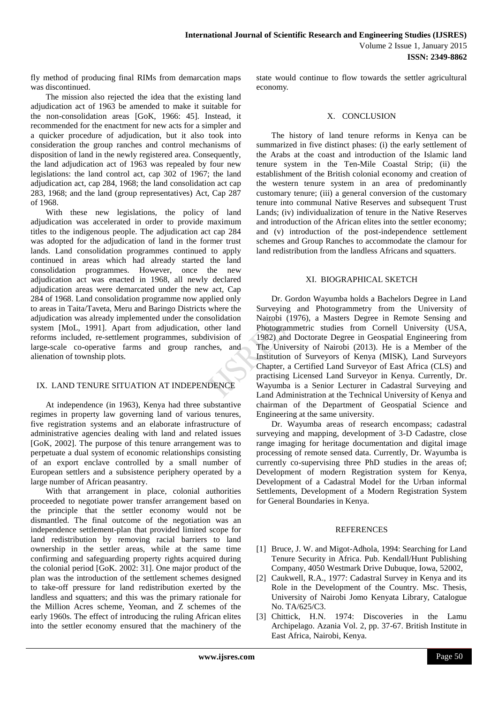fly method of producing final RIMs from demarcation maps was discontinued.

The mission also rejected the idea that the existing land adjudication act of 1963 be amended to make it suitable for the non-consolidation areas [GoK, 1966: 45]. Instead, it recommended for the enactment for new acts for a simpler and a quicker procedure of adjudication, but it also took into consideration the group ranches and control mechanisms of disposition of land in the newly registered area. Consequently, the land adjudication act of 1963 was repealed by four new legislations: the land control act, cap 302 of 1967; the land adjudication act, cap 284, 1968; the land consolidation act cap 283, 1968; and the land (group representatives) Act, Cap 287 of 1968.

With these new legislations, the policy of land adjudication was accelerated in order to provide maximum titles to the indigenous people. The adjudication act cap 284 was adopted for the adjudication of land in the former trust lands. Land consolidation programmes continued to apply continued in areas which had already started the land consolidation programmes. However, once the new adjudication act was enacted in 1968, all newly declared adjudication areas were demarcated under the new act, Cap 284 of 1968. Land consolidation programme now applied only to areas in Taita/Taveta, Meru and Baringo Districts where the adjudication was already implemented under the consolidation system [MoL, 1991]. Apart from adjudication, other land reforms included, re-settlement programmes, subdivision of large-scale co-operative farms and group ranches, and alienation of township plots.

# IX. LAND TENURE SITUATION AT INDEPENDENCE

At independence (in 1963), Kenya had three substantive regimes in property law governing land of various tenures, five registration systems and an elaborate infrastructure of administrative agencies dealing with land and related issues [GoK, 2002]. The purpose of this tenure arrangement was to perpetuate a dual system of economic relationships consisting of an export enclave controlled by a small number of European settlers and a subsistence periphery operated by a large number of African peasantry.

With that arrangement in place, colonial authorities proceeded to negotiate power transfer arrangement based on the principle that the settler economy would not be dismantled. The final outcome of the negotiation was an independence settlement-plan that provided limited scope for land redistribution by removing racial barriers to land ownership in the settler areas, while at the same time confirming and safeguarding property rights acquired during the colonial period [GoK. 2002: 31]. One major product of the plan was the introduction of the settlement schemes designed to take-off pressure for land redistribution exerted by the landless and squatters; and this was the primary rationale for the Million Acres scheme, Yeoman, and Z schemes of the early 1960s. The effect of introducing the ruling African elites into the settler economy ensured that the machinery of the

state would continue to flow towards the settler agricultural economy.

## X. CONCLUSION

The history of land tenure reforms in Kenya can be summarized in five distinct phases: (i) the early settlement of the Arabs at the coast and introduction of the Islamic land tenure system in the Ten-Mile Coastal Strip; (ii) the establishment of the British colonial economy and creation of the western tenure system in an area of predominantly customary tenure; (iii) a general conversion of the customary tenure into communal Native Reserves and subsequent Trust Lands; (iv) individualization of tenure in the Native Reserves and introduction of the African elites into the settler economy; and (v) introduction of the post-independence settlement schemes and Group Ranches to accommodate the clamour for land redistribution from the landless Africans and squatters.

# XI. BIOGRAPHICAL SKETCH

Dr. Gordon Wayumba holds a Bachelors Degree in Land Surveying and Photogrammetry from the University of Nairobi (1976), a Masters Degree in Remote Sensing and Photogrammetric studies from Cornell University (USA, 1982) and Doctorate Degree in Geospatial Engineering from The University of Nairobi (2013). He is a Member of the Institution of Surveyors of Kenya (MISK), Land Surveyors Chapter, a Certified Land Surveyor of East Africa (CLS) and practising Licensed Land Surveyor in Kenya. Currently, Dr. Wayumba is a Senior Lecturer in Cadastral Surveying and Land Administration at the Technical University of Kenya and chairman of the Department of Geospatial Science and Engineering at the same university.

Dr. Wayumba areas of research encompass; cadastral surveying and mapping, development of 3-D Cadastre, close range imaging for heritage documentation and digital image processing of remote sensed data. Currently, Dr. Wayumba is currently co-supervising three PhD studies in the areas of; Development of modern Registration system for Kenya, Development of a Cadastral Model for the Urban informal Settlements, Development of a Modern Registration System for General Boundaries in Kenya.

# REFERENCES

- [1] Bruce, J. W. and Migot-Adhola, 1994: Searching for Land Tenure Security in Africa. Pub. Kendall/Hunt Publishing Company, 4050 Westmark Drive Dubuque, Iowa, 52002,
- [2] Caukwell, R.A., 1977: Cadastral Survey in Kenya and its Role in the Development of the Country. Msc. Thesis, University of Nairobi Jomo Kenyata Library, Catalogue No. TA/625/C3.
- [3] Chittick, H.N. 1974: Discoveries in the Lamu Archipelago. Azania Vol. 2, pp. 37-67. British Institute in East Africa, Nairobi, Kenya.